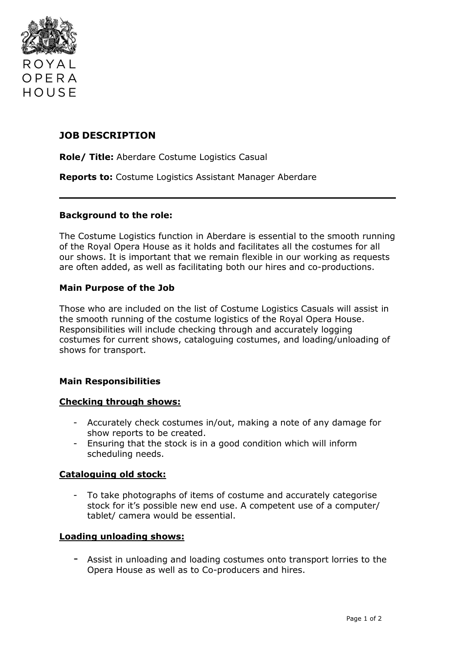

## **JOB DESCRIPTION**

**Role/ Title:** Aberdare Costume Logistics Casual

**Reports to:** Costume Logistics Assistant Manager Aberdare

### **Background to the role:**

The Costume Logistics function in Aberdare is essential to the smooth running of the Royal Opera House as it holds and facilitates all the costumes for all our shows. It is important that we remain flexible in our working as requests are often added, as well as facilitating both our hires and co-productions.

## **Main Purpose of the Job**

Those who are included on the list of Costume Logistics Casuals will assist in the smooth running of the costume logistics of the Royal Opera House. Responsibilities will include checking through and accurately logging costumes for current shows, cataloguing costumes, and loading/unloading of shows for transport.

## **Main Responsibilities**

#### **Checking through shows:**

- Accurately check costumes in/out, making a note of any damage for show reports to be created.
- Ensuring that the stock is in a good condition which will inform scheduling needs.

#### **Cataloguing old stock:**

- To take photographs of items of costume and accurately categorise stock for it's possible new end use. A competent use of a computer/ tablet/ camera would be essential.

#### **Loading unloading shows:**

- Assist in unloading and loading costumes onto transport lorries to the Opera House as well as to Co-producers and hires.